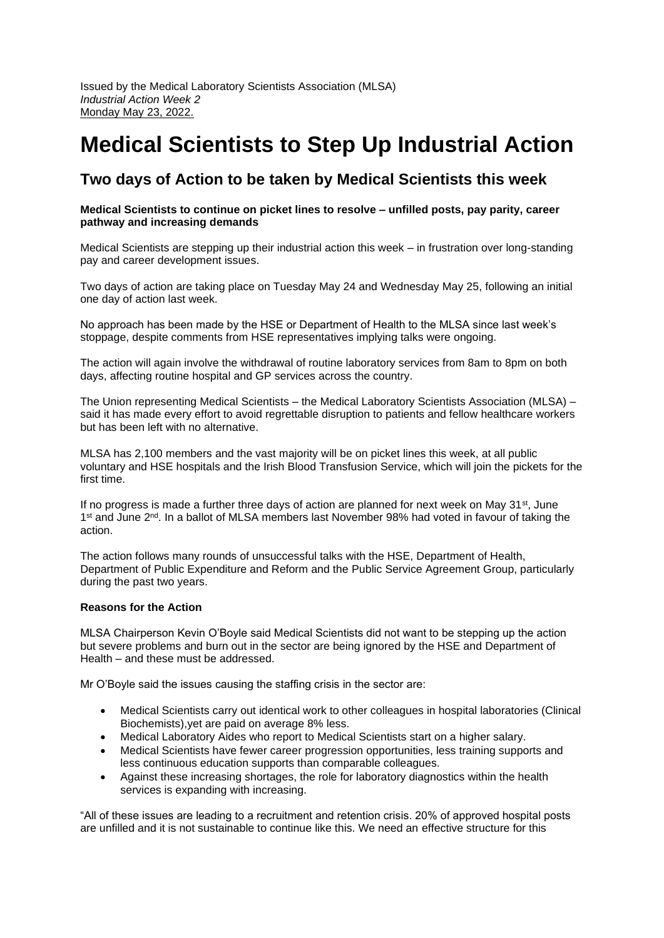# **Medical Scientists to Step Up Industrial Action**

# **Two days of Action to be taken by Medical Scientists this week**

## **Medical Scientists to continue on picket lines to resolve – unfilled posts, pay parity, career pathway and increasing demands**

Medical Scientists are stepping up their industrial action this week – in frustration over long-standing pay and career development issues.

Two days of action are taking place on Tuesday May 24 and Wednesday May 25, following an initial one day of action last week.

No approach has been made by the HSE or Department of Health to the MLSA since last week's stoppage, despite comments from HSE representatives implying talks were ongoing.

The action will again involve the withdrawal of routine laboratory services from 8am to 8pm on both days, affecting routine hospital and GP services across the country.

The Union representing Medical Scientists – the Medical Laboratory Scientists Association (MLSA) – said it has made every effort to avoid regrettable disruption to patients and fellow healthcare workers but has been left with no alternative.

MLSA has 2,100 members and the vast majority will be on picket lines this week, at all public voluntary and HSE hospitals and the Irish Blood Transfusion Service, which will join the pickets for the first time.

If no progress is made a further three days of action are planned for next week on May  $31^{st}$ , June 1<sup>st</sup> and June 2<sup>nd</sup>. In a ballot of MLSA members last November 98% had voted in favour of taking the action.

The action follows many rounds of unsuccessful talks with the HSE, Department of Health, Department of Public Expenditure and Reform and the Public Service Agreement Group, particularly during the past two years.

# **Reasons for the Action**

MLSA Chairperson Kevin O'Boyle said Medical Scientists did not want to be stepping up the action but severe problems and burn out in the sector are being ignored by the HSE and Department of Health – and these must be addressed.

Mr O'Boyle said the issues causing the staffing crisis in the sector are:

- Medical Scientists carry out identical work to other colleagues in hospital laboratories (Clinical Biochemists),yet are paid on average 8% less.
- Medical Laboratory Aides who report to Medical Scientists start on a higher salary.
- Medical Scientists have fewer career progression opportunities, less training supports and less continuous education supports than comparable colleagues.
- Against these increasing shortages, the role for laboratory diagnostics within the health services is expanding with increasing.

"All of these issues are leading to a recruitment and retention crisis. 20% of approved hospital posts are unfilled and it is not sustainable to continue like this. We need an effective structure for this